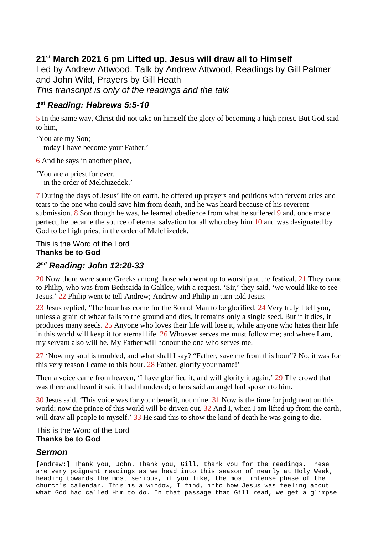## **21st March 2021 6 pm Lifted up, Jesus will draw all to Himself**

Led by Andrew Attwood. Talk by Andrew Attwood, Readings by Gill Palmer and John Wild, Prayers by Gill Heath *This transcript is only of the readings and the talk*

## *1 st Reading: Hebrews 5:5-10*

5 In the same way, Christ did not take on himself the glory of becoming a high priest. But God said to him,

'You are my Son; today I have become your Father.'

6 And he says in another place,

'You are a priest for ever, in the order of Melchizedek.'

7 During the days of Jesus' life on earth, he offered up prayers and petitions with fervent cries and tears to the one who could save him from death, and he was heard because of his reverent submission. 8 Son though he was, he learned obedience from what he suffered 9 and, once made perfect, he became the source of eternal salvation for all who obey him 10 and was designated by God to be high priest in the order of Melchizedek.

This is the Word of the Lord **Thanks be to God**

## *2 nd Reading: John 12:20-33*

20 Now there were some Greeks among those who went up to worship at the festival. 21 They came to Philip, who was from Bethsaida in Galilee, with a request. 'Sir,' they said, 'we would like to see Jesus.' 22 Philip went to tell Andrew; Andrew and Philip in turn told Jesus.

23 Jesus replied, 'The hour has come for the Son of Man to be glorified. 24 Very truly I tell you, unless a grain of wheat falls to the ground and dies, it remains only a single seed. But if it dies, it produces many seeds. 25 Anyone who loves their life will lose it, while anyone who hates their life in this world will keep it for eternal life. 26 Whoever serves me must follow me; and where I am, my servant also will be. My Father will honour the one who serves me.

27 'Now my soul is troubled, and what shall I say? "Father, save me from this hour"? No, it was for this very reason I came to this hour. 28 Father, glorify your name!'

Then a voice came from heaven, 'I have glorified it, and will glorify it again.' 29 The crowd that was there and heard it said it had thundered; others said an angel had spoken to him.

30 Jesus said, 'This voice was for your benefit, not mine. 31 Now is the time for judgment on this world; now the prince of this world will be driven out. 32 And I, when I am lifted up from the earth, will draw all people to myself.' 33 He said this to show the kind of death he was going to die.

This is the Word of the Lord **Thanks be to God**

## *Sermon*

[Andrew:] Thank you, John. Thank you, Gill, thank you for the readings. These are very poignant readings as we head into this season of nearly at Holy Week, heading towards the most serious, if you like, the most intense phase of the church's calendar. This is a window, I find, into how Jesus was feeling about what God had called Him to do. In that passage that Gill read, we get a glimpse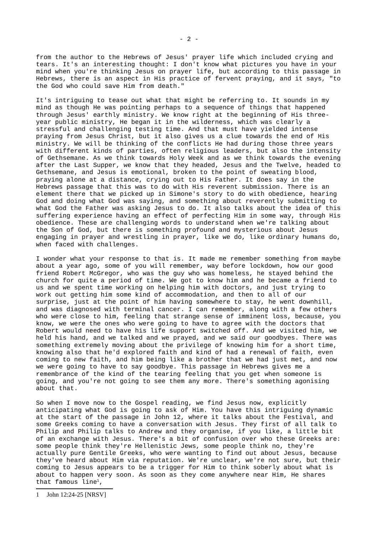from the author to the Hebrews of Jesus' prayer life which included crying and tears. It's an interesting thought: I don't know what pictures you have in your mind when you're thinking Jesus on prayer life, but according to this passage in Hebrews, there is an aspect in His practice of fervent praying, and it says, "to the God who could save Him from death."

It's intriguing to tease out what that might be referring to. It sounds in my mind as though He was pointing perhaps to a sequence of things that happened through Jesus' earthly ministry. We know right at the beginning of His threeyear public ministry, He began it in the wilderness, which was clearly a stressful and challenging testing time. And that must have yielded intense praying from Jesus Christ, but it also gives us a clue towards the end of His ministry. We will be thinking of the conflicts He had during those three years with different kinds of parties, often religious leaders, but also the intensity of Gethsemane. As we think towards Holy Week and as we think towards the evening after the Last Supper, we know that they headed, Jesus and the Twelve, headed to Gethsemane, and Jesus is emotional, broken to the point of sweating blood, praying alone at a distance, crying out to His Father. It does say in the Hebrews passage that this was to do with His reverent submission. There is an element there that we picked up in Simone's story to do with obedience, hearing God and doing what God was saying, and something about reverently submitting to what God the Father was asking Jesus to do. It also talks about the idea of this suffering experience having an effect of perfecting Him in some way, through His obedience. These are challenging words to understand when we're talking about the Son of God, but there is something profound and mysterious about Jesus engaging in prayer and wrestling in prayer, like we do, like ordinary humans do, when faced with challenges.

I wonder what your response to that is. It made me remember something from maybe about a year ago, some of you will remember, way before lockdown, how our good friend Robert McGregor, who was the guy who was homeless, he stayed behind the church for quite a period of time. We got to know him and he became a friend to us and we spent time working on helping him with doctors, and just trying to work out getting him some kind of accommodation, and then to all of our surprise, just at the point of him having somewhere to stay, he went downhill, and was diagnosed with terminal cancer. I can remember, along with a few others who were close to him, feeling that strange sense of imminent loss, because, you know, we were the ones who were going to have to agree with the doctors that Robert would need to have his life support switched off. And we visited him, we held his hand, and we talked and we prayed, and we said our goodbyes. There was something extremely moving about the privilege of knowing him for a short time, knowing also that he'd explored faith and kind of had a renewal of faith, even coming to new faith, and him being like a brother that we had just met, and now we were going to have to say goodbye. This passage in Hebrews gives me a remembrance of the kind of the tearing feeling that you get when someone is going, and you're not going to see them any more. There's something agonising about that.

So when I move now to the Gospel reading, we find Jesus now, explicitly anticipating what God is going to ask of Him. You have this intriguing dynamic at the start of the passage in John 12, where it talks about the Festival, and some Greeks coming to have a conversation with Jesus. They first of all talk to Philip and Philip talks to Andrew and they organise, if you like, a little bit of an exchange with Jesus. There's a bit of confusion over who these Greeks are: some people think they're Hellenistic Jews, some people think no, they're actually pure Gentile Greeks, who were wanting to find out about Jesus, because they've heard about Him via reputation. We're unclear, we're not sure, but their coming to Jesus appears to be a trigger for Him to think soberly about what is about to happen very soon. As soon as they come anywhere near Him, He shares that famous line<sup>[1](#page-1-0)</sup>,

<span id="page-1-0"></span><sup>1</sup> John 12:24-25 [NRSV]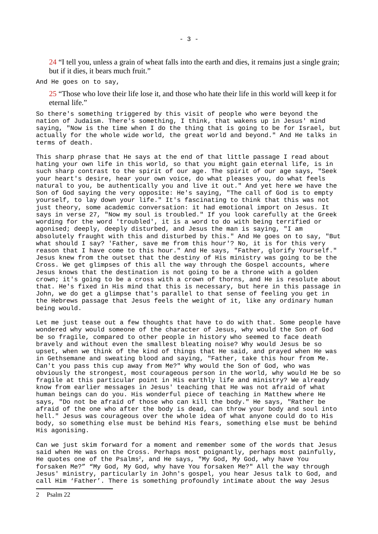24 "I tell you, unless a grain of wheat falls into the earth and dies, it remains just a single grain; but if it dies, it bears much fruit."

And He goes on to say,

25 "Those who love their life lose it, and those who hate their life in this world will keep it for eternal life."

So there's something triggered by this visit of people who were beyond the nation of Judaism. There's something, I think, that wakens up in Jesus' mind saying, "Now is the time when I do the thing that is going to be for Israel, but actually for the whole wide world, the great world and beyond." And He talks in terms of death.

This sharp phrase that He says at the end of that little passage I read about hating your own life in this world, so that you might gain eternal life, is in such sharp contrast to the spirit of our age. The spirit of our age says, "Seek your heart's desire, hear your own voice, do what pleases you, do what feels natural to you, be authentically you and live it out." And yet here we have the Son of God saying the very opposite: He's saying, "The call of God is to empty yourself, to lay down your life." It's fascinating to think that this was not just theory, some academic conversation: it had emotional import on Jesus. It says in verse 27, "Now my soul is troubled." If you look carefully at the Greek wording for the word 'troubled', it is a word to do with being terrified or agonised; deeply, deeply disturbed, and Jesus the man is saying, "I am absolutely fraught with this and disturbed by this." And He goes on to say, "But what should I say? 'Father, save me from this hour'? No, it is for this very reason that I have come to this hour." And He says, "Father, glorify Yourself." Jesus knew from the outset that the destiny of His ministry was going to be the Cross. We get glimpses of this all the way through the Gospel accounts, where Jesus knows that the destination is not going to be a throne with a golden crown; it's going to be a cross with a crown of thorns, and He is resolute about that. He's fixed in His mind that this is necessary, but here in this passage in John, we do get a glimpse that's parallel to that sense of feeling you get in the Hebrews passage that Jesus feels the weight of it, like any ordinary human being would.

Let me just tease out a few thoughts that have to do with that. Some people have wondered why would someone of the character of Jesus, why would the Son of God be so fragile, compared to other people in history who seemed to face death bravely and without even the smallest bleating noise? Why would Jesus be so upset, when we think of the kind of things that He said, and prayed when He was in Gethsemane and sweating blood and saying, "Father, take this hour from Me. Can't you pass this cup away from Me?" Why would the Son of God, who was obviously the strongest, most courageous person in the world, why would He be so fragile at this particular point in His earthly life and ministry? We already know from earlier messages in Jesus' teaching that He was not afraid of what human beings can do you. His wonderful piece of teaching in Matthew where He says, "Do not be afraid of those who can kill the body." He says, "Rather be afraid of the one who after the body is dead, can throw your body and soul into hell." Jesus was courageous over the whole idea of what anyone could do to His body, so something else must be behind His fears, something else must be behind His agonising.

Can we just skim forward for a moment and remember some of the words that Jesus said when He was on the Cross. Perhaps most poignantly, perhaps most painfully, He quotes one of the Psalms[2](#page-2-0), and He says, "My God, My God, why have You forsaken Me?" "My God, My God, why have You forsaken Me?" All the way through Jesus' ministry, particularly in John's gospel, you hear Jesus talk to God, and call Him 'Father'. There is something profoundly intimate about the way Jesus

<span id="page-2-0"></span><sup>2</sup> Psalm 22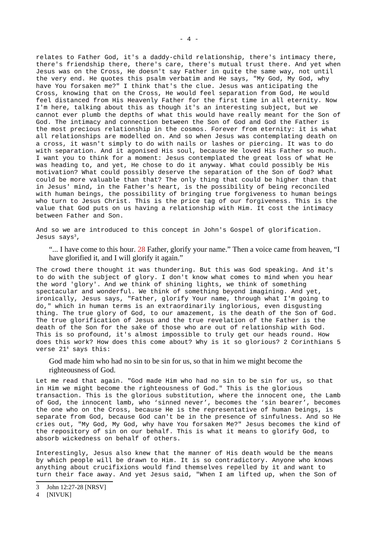relates to Father God, it's a daddy-child relationship, there's intimacy there, there's friendship there, there's care, there's mutual trust there. And yet when Jesus was on the Cross, He doesn't say Father in quite the same way, not until the very end. He quotes this psalm verbatim and He says, "My God, My God, why have You forsaken me?" I think that's the clue. Jesus was anticipating the Cross, knowing that on the Cross, He would feel separation from God, He would feel distanced from His Heavenly Father for the first time in all eternity. Now I'm here, talking about this as though it's an interesting subject, but we cannot ever plumb the depths of what this would have really meant for the Son of God. The intimacy and connection between the Son of God and God the Father is the most precious relationship in the cosmos. Forever from eternity: it is what all relationships are modelled on. And so when Jesus was contemplating death on a cross, it wasn't simply to do with nails or lashes or piercing. It was to do with separation. And it agonised His soul, because He loved His Father so much. I want you to think for a moment: Jesus contemplated the great loss of what He was heading to, and yet, He chose to do it anyway. What could possibly be His motivation? What could possibly deserve the separation of the Son of God? What could be more valuable than that? The only thing that could be higher than that in Jesus' mind, in the Father's heart, is the possibility of being reconciled with human beings, the possibility of bringing true forgiveness to human beings who turn to Jesus Christ. This is the price tag of our forgiveness. This is the value that God puts on us having a relationship with Him. It cost the intimacy between Father and Son.

And so we are introduced to this concept in John's Gospel of glorification. Jesus says<sup>[3](#page-3-0)</sup>,

"... I have come to this hour. 28 Father, glorify your name." Then a voice came from heaven, "I have glorified it, and I will glorify it again."

The crowd there thought it was thundering. But this was God speaking. And it's to do with the subject of glory. I don't know what comes to mind when you hear the word 'glory'. And we think of shining lights, we think of something spectacular and wonderful. We think of something beyond imagining. And yet, ironically, Jesus says, "Father, glorify Your name, through what I'm going to do," which in human terms is an extraordinarily inglorious, even disgusting thing. The true glory of God, to our amazement, is the death of the Son of God. The true glorification of Jesus and the true revelation of the Father is the death of the Son for the sake of those who are out of relationship with God. This is so profound, it's almost impossible to truly get our heads round. How does this work? How does this come about? Why is it so glorious? 2 Corinthians 5 verse 21[4](#page-3-1) says this:

God made him who had no sin to be sin for us, so that in him we might become the righteousness of God.

Let me read that again. "God made Him who had no sin to be sin for us, so that in Him we might become the righteousness of God." This is the glorious transaction. This is the glorious substitution, where the innocent one, the Lamb of God, the innocent lamb, who 'sinned never', becomes the 'sin bearer', becomes the one who on the Cross, because He is the representative of human beings, is separate from God, because God can't be in the presence of sinfulness. And so He cries out, "My God, My God, why have You forsaken Me?" Jesus becomes the kind of the repository of sin on our behalf. This is what it means to glorify God, to absorb wickedness on behalf of others.

Interestingly, Jesus also knew that the manner of His death would be the means by which people will be drawn to Him. It is so contradictory. Anyone who knows anything about crucifixions would find themselves repelled by it and want to turn their face away. And yet Jesus said, "When I am lifted up, when the Son of

<span id="page-3-0"></span><sup>3</sup> John 12:27-28 [NRSV]

<span id="page-3-1"></span><sup>4</sup> [NIVUK]